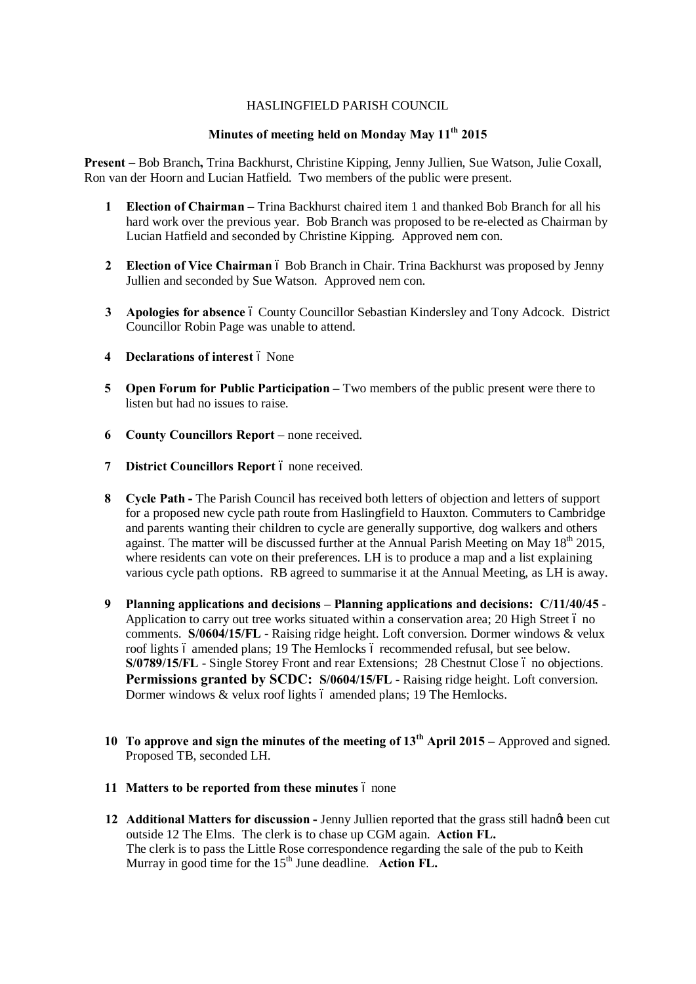## HASLINGFIELD PARISH COUNCIL

## **Minutes of meeting held on Monday May 11th 2015**

**Present –** Bob Branch**,** Trina Backhurst, Christine Kipping, Jenny Jullien, Sue Watson, Julie Coxall, Ron van der Hoorn and Lucian Hatfield. Two members of the public were present.

- **1 Election of Chairman –** Trina Backhurst chaired item 1 and thanked Bob Branch for all his hard work over the previous year. Bob Branch was proposed to be re-elected as Chairman by Lucian Hatfield and seconded by Christine Kipping. Approved nem con.
- **2 Election of Vice Chairman**  $\acute{o}$  Bob Branch in Chair. Trina Backhurst was proposed by Jenny Jullien and seconded by Sue Watson. Approved nem con.
- **3 Apologies for absence** 6 County Councillor Sebastian Kindersley and Tony Adcock. District Councillor Robin Page was unable to attend.
- **4 Declarations of interest**  $\acute{o}$  None
- **5 Open Forum for Public Participation –** Two members of the public present were there to listen but had no issues to raise.
- **6 County Councillors Report** none received.
- **7 District Councillors Report** 6 none received.
- **8 Cycle Path -** The Parish Council has received both letters of objection and letters of support for a proposed new cycle path route from Haslingfield to Hauxton. Commuters to Cambridge and parents wanting their children to cycle are generally supportive, dog walkers and others against. The matter will be discussed further at the Annual Parish Meeting on May  $18<sup>th</sup> 2015$ , where residents can vote on their preferences. LH is to produce a map and a list explaining various cycle path options. RB agreed to summarise it at the Annual Meeting, as LH is away.
- **9 Planning applications and decisions – Planning applications and decisions: C/11/40/45** Application to carry out tree works situated within a conservation area; 20 High Street 6 no comments. **S/0604/15/FL** - Raising ridge height. Loft conversion. Dormer windows & velux roof lights 6 amended plans; 19 The Hemlocks 6 recommended refusal, but see below. **S/0789/15/FL** - Single Storey Front and rear Extensions; 28 Chestnut Close 6 no objections. **Permissions granted by SCDC:** S/0604/15/FL - Raising ridge height. Loft conversion. Dormer windows  $&$  velux roof lights 6 amended plans; 19 The Hemlocks.
- **10 To approve and sign the minutes of the meeting of 13th April 2015 –** Approved and signed. Proposed TB, seconded LH.
- **11 Matters to be reported from these minutes**  $\acute{o}$  none
- **12 Additional Matters for discussion -** Jenny Jullien reported that the grass still hadn't been cut outside 12 The Elms. The clerk is to chase up CGM again. **Action FL.**  The clerk is to pass the Little Rose correspondence regarding the sale of the pub to Keith Murray in good time for the 15<sup>th</sup> June deadline. **Action FL.**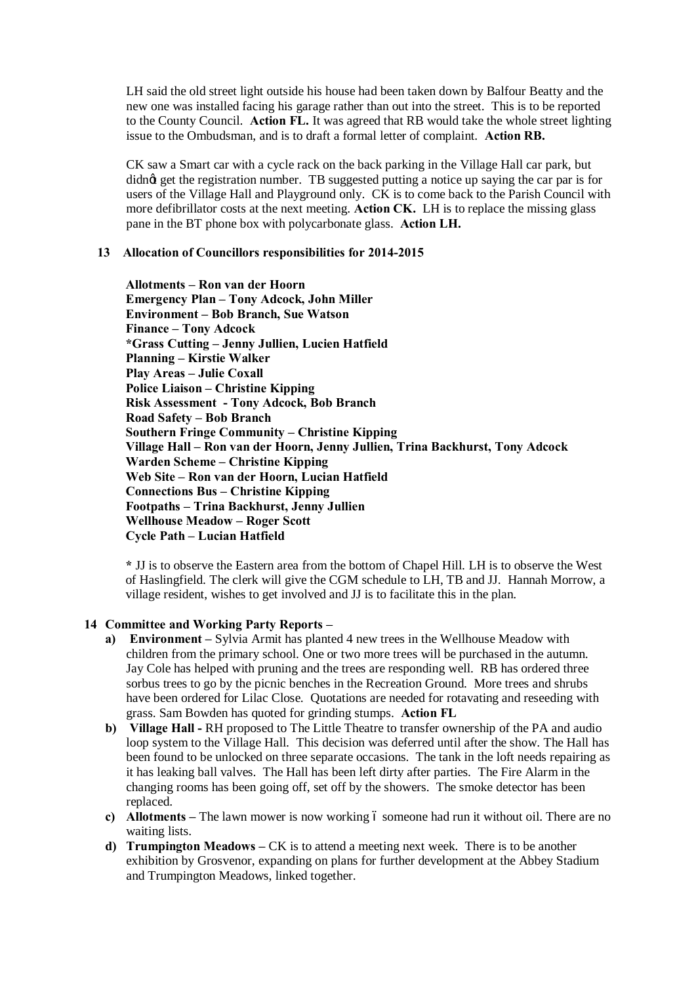LH said the old street light outside his house had been taken down by Balfour Beatty and the new one was installed facing his garage rather than out into the street. This is to be reported to the County Council. **Action FL.** It was agreed that RB would take the whole street lighting issue to the Ombudsman, and is to draft a formal letter of complaint. **Action RB.**

CK saw a Smart car with a cycle rack on the back parking in the Village Hall car park, but didnet get the registration number. TB suggested putting a notice up saying the car par is for users of the Village Hall and Playground only. CK is to come back to the Parish Council with more defibrillator costs at the next meeting. **Action CK.** LH is to replace the missing glass pane in the BT phone box with polycarbonate glass. **Action LH.**

## **13 Allocation of Councillors responsibilities for 2014-2015**

**Allotments – Ron van der Hoorn Emergency Plan – Tony Adcock, John Miller Environment – Bob Branch, Sue Watson Finance – Tony Adcock \*Grass Cutting – Jenny Jullien, Lucien Hatfield Planning – Kirstie Walker Play Areas – Julie Coxall Police Liaison – Christine Kipping Risk Assessment - Tony Adcock, Bob Branch Road Safety – Bob Branch Southern Fringe Community – Christine Kipping Village Hall – Ron van der Hoorn, Jenny Jullien, Trina Backhurst, Tony Adcock Warden Scheme – Christine Kipping Web Site – Ron van der Hoorn, Lucian Hatfield Connections Bus – Christine Kipping Footpaths – Trina Backhurst, Jenny Jullien Wellhouse Meadow – Roger Scott Cycle Path – Lucian Hatfield**

**\*** JJ is to observe the Eastern area from the bottom of Chapel Hill. LH is to observe the West of Haslingfield. The clerk will give the CGM schedule to LH, TB and JJ. Hannah Morrow, a village resident, wishes to get involved and JJ is to facilitate this in the plan.

## **14 Committee and Working Party Reports –**

- **a) Environment –** Sylvia Armit has planted 4 new trees in the Wellhouse Meadow with children from the primary school. One or two more trees will be purchased in the autumn. Jay Cole has helped with pruning and the trees are responding well. RB has ordered three sorbus trees to go by the picnic benches in the Recreation Ground. More trees and shrubs have been ordered for Lilac Close. Quotations are needed for rotavating and reseeding with grass. Sam Bowden has quoted for grinding stumps. **Action FL**
- **b) Village Hall -** RH proposed to The Little Theatre to transfer ownership of the PA and audio loop system to the Village Hall. This decision was deferred until after the show. The Hall has been found to be unlocked on three separate occasions. The tank in the loft needs repairing as it has leaking ball valves. The Hall has been left dirty after parties. The Fire Alarm in the changing rooms has been going off, set off by the showers. The smoke detector has been replaced.
- **c) Allotments** The lawn mower is now working 6 someone had run it without oil. There are no waiting lists.
- **d) Trumpington Meadows –** CK is to attend a meeting next week. There is to be another exhibition by Grosvenor, expanding on plans for further development at the Abbey Stadium and Trumpington Meadows, linked together.